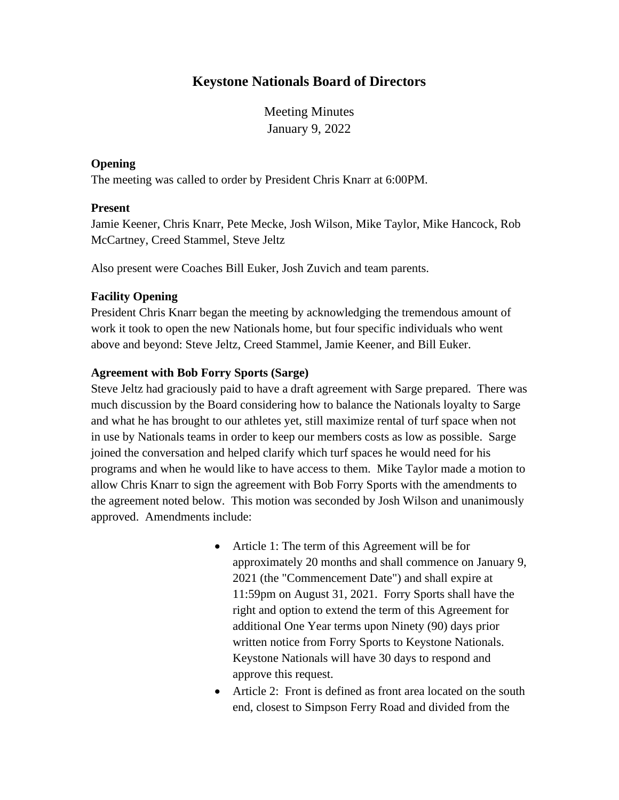# **Keystone Nationals Board of Directors**

Meeting Minutes January 9, 2022

## **Opening**

The meeting was called to order by President Chris Knarr at 6:00PM.

### **Present**

Jamie Keener, Chris Knarr, Pete Mecke, Josh Wilson, Mike Taylor, Mike Hancock, Rob McCartney, Creed Stammel, Steve Jeltz

Also present were Coaches Bill Euker, Josh Zuvich and team parents.

### **Facility Opening**

President Chris Knarr began the meeting by acknowledging the tremendous amount of work it took to open the new Nationals home, but four specific individuals who went above and beyond: Steve Jeltz, Creed Stammel, Jamie Keener, and Bill Euker.

## **Agreement with Bob Forry Sports (Sarge)**

Steve Jeltz had graciously paid to have a draft agreement with Sarge prepared. There was much discussion by the Board considering how to balance the Nationals loyalty to Sarge and what he has brought to our athletes yet, still maximize rental of turf space when not in use by Nationals teams in order to keep our members costs as low as possible. Sarge joined the conversation and helped clarify which turf spaces he would need for his programs and when he would like to have access to them. Mike Taylor made a motion to allow Chris Knarr to sign the agreement with Bob Forry Sports with the amendments to the agreement noted below. This motion was seconded by Josh Wilson and unanimously approved. Amendments include:

- Article 1: The term of this Agreement will be for approximately 20 months and shall commence on January 9, 2021 (the "Commencement Date") and shall expire at 11:59pm on August 31, 2021. Forry Sports shall have the right and option to extend the term of this Agreement for additional One Year terms upon Ninety (90) days prior written notice from Forry Sports to Keystone Nationals. Keystone Nationals will have 30 days to respond and approve this request.
- Article 2: Front is defined as front area located on the south end, closest to Simpson Ferry Road and divided from the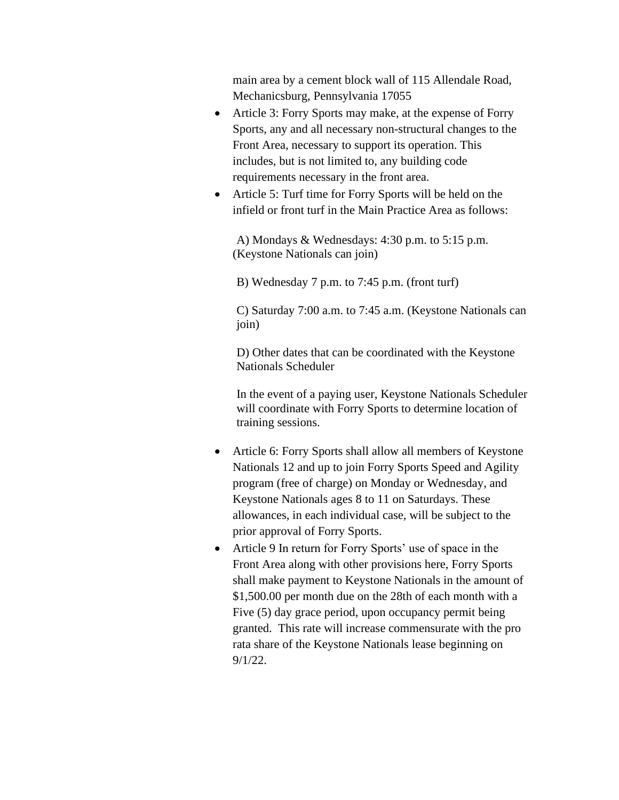main area by a cement block wall of 115 Allendale Road, Mechanicsburg, Pennsylvania 17055

- Article 3: Forry Sports may make, at the expense of Forry Sports, any and all necessary non-structural changes to the Front Area, necessary to support its operation. This includes, but is not limited to, any building code requirements necessary in the front area.
- Article 5: Turf time for Forry Sports will be held on the infield or front turf in the Main Practice Area as follows:

A) Mondays & Wednesdays: 4:30 p.m. to 5:15 p.m. (Keystone Nationals can join)

B) Wednesday 7 p.m. to 7:45 p.m. (front turf)

C) Saturday 7:00 a.m. to 7:45 a.m. (Keystone Nationals can join)

D) Other dates that can be coordinated with the Keystone Nationals Scheduler

In the event of a paying user, Keystone Nationals Scheduler will coordinate with Forry Sports to determine location of training sessions.

- Article 6: Forry Sports shall allow all members of Keystone Nationals 12 and up to join Forry Sports Speed and Agility program (free of charge) on Monday or Wednesday, and Keystone Nationals ages 8 to 11 on Saturdays. These allowances, in each individual case, will be subject to the prior approval of Forry Sports.
- Article 9 In return for Forry Sports' use of space in the Front Area along with other provisions here, Forry Sports shall make payment to Keystone Nationals in the amount of \$1,500.00 per month due on the 28th of each month with a Five (5) day grace period, upon occupancy permit being granted. This rate will increase commensurate with the pro rata share of the Keystone Nationals lease beginning on 9/1/22.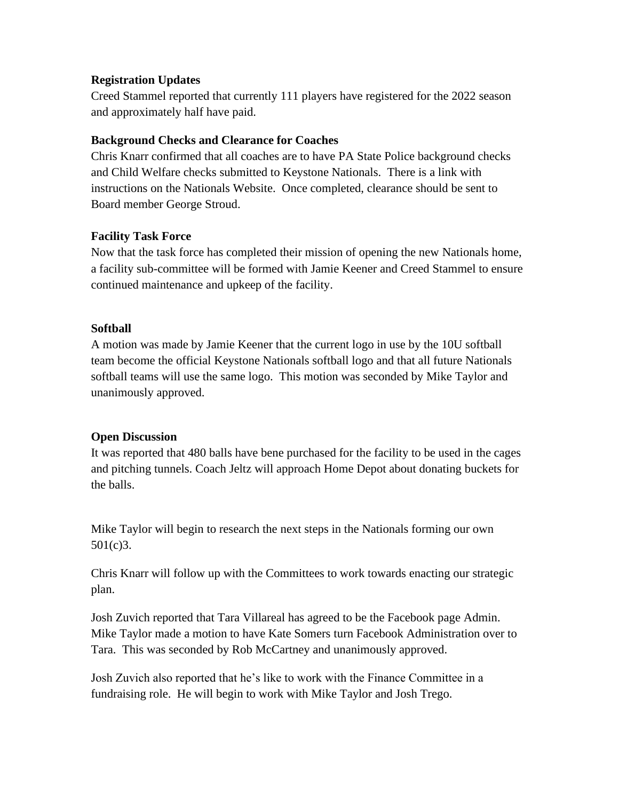## **Registration Updates**

Creed Stammel reported that currently 111 players have registered for the 2022 season and approximately half have paid.

### **Background Checks and Clearance for Coaches**

Chris Knarr confirmed that all coaches are to have PA State Police background checks and Child Welfare checks submitted to Keystone Nationals. There is a link with instructions on the Nationals Website. Once completed, clearance should be sent to Board member George Stroud.

### **Facility Task Force**

Now that the task force has completed their mission of opening the new Nationals home, a facility sub-committee will be formed with Jamie Keener and Creed Stammel to ensure continued maintenance and upkeep of the facility.

## **Softball**

A motion was made by Jamie Keener that the current logo in use by the 10U softball team become the official Keystone Nationals softball logo and that all future Nationals softball teams will use the same logo. This motion was seconded by Mike Taylor and unanimously approved.

#### **Open Discussion**

It was reported that 480 balls have bene purchased for the facility to be used in the cages and pitching tunnels. Coach Jeltz will approach Home Depot about donating buckets for the balls.

Mike Taylor will begin to research the next steps in the Nationals forming our own 501(c)3.

Chris Knarr will follow up with the Committees to work towards enacting our strategic plan.

Josh Zuvich reported that Tara Villareal has agreed to be the Facebook page Admin. Mike Taylor made a motion to have Kate Somers turn Facebook Administration over to Tara. This was seconded by Rob McCartney and unanimously approved.

Josh Zuvich also reported that he's like to work with the Finance Committee in a fundraising role. He will begin to work with Mike Taylor and Josh Trego.